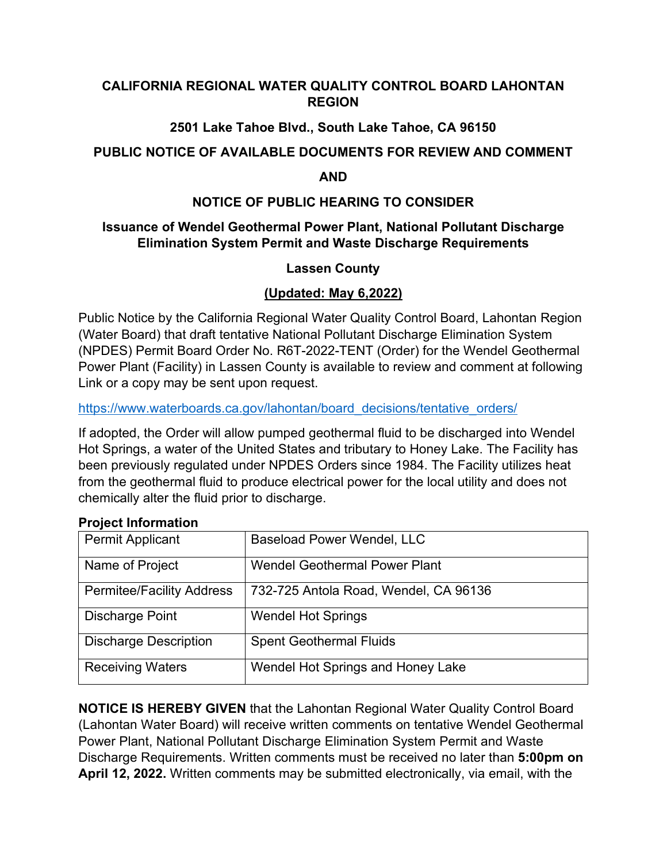## **CALIFORNIA REGIONAL WATER QUALITY CONTROL BOARD LAHONTAN REGION**

# **2501 Lake Tahoe Blvd., South Lake Tahoe, CA 96150**

## **PUBLIC NOTICE OF AVAILABLE DOCUMENTS FOR REVIEW AND COMMENT**

#### **AND**

## **NOTICE OF PUBLIC HEARING TO CONSIDER**

## **Issuance of Wendel Geothermal Power Plant, National Pollutant Discharge Elimination System Permit and Waste Discharge Requirements**

## **Lassen County**

# **(Updated: May 6,2022)**

Public Notice by the California Regional Water Quality Control Board, Lahontan Region (Water Board) that draft tentative National Pollutant Discharge Elimination System (NPDES) Permit Board Order No. R6T-2022-TENT (Order) for the Wendel Geothermal Power Plant (Facility) in Lassen County is available to review and comment at following Link or a copy may be sent upon request.

[https://www.waterboards.ca.gov/lahontan/board\\_decisions/tentative\\_orders/](https://www.waterboards.ca.gov/lahontan/board_decisions/tentative_orders/)

If adopted, the Order will allow pumped geothermal fluid to be discharged into Wendel Hot Springs, a water of the United States and tributary to Honey Lake. The Facility has been previously regulated under NPDES Orders since 1984. The Facility utilizes heat from the geothermal fluid to produce electrical power for the local utility and does not chemically alter the fluid prior to discharge.

#### **Project Information**

| <b>Permit Applicant</b>          | <b>Baseload Power Wendel, LLC</b>     |
|----------------------------------|---------------------------------------|
| Name of Project                  | <b>Wendel Geothermal Power Plant</b>  |
| <b>Permitee/Facility Address</b> | 732-725 Antola Road, Wendel, CA 96136 |
| Discharge Point                  | <b>Wendel Hot Springs</b>             |
| <b>Discharge Description</b>     | <b>Spent Geothermal Fluids</b>        |
| <b>Receiving Waters</b>          | Wendel Hot Springs and Honey Lake     |

**NOTICE IS HEREBY GIVEN** that the Lahontan Regional Water Quality Control Board (Lahontan Water Board) will receive written comments on tentative Wendel Geothermal Power Plant, National Pollutant Discharge Elimination System Permit and Waste Discharge Requirements. Written comments must be received no later than **5:00pm on April 12, 2022.** Written comments may be submitted electronically, via email, with the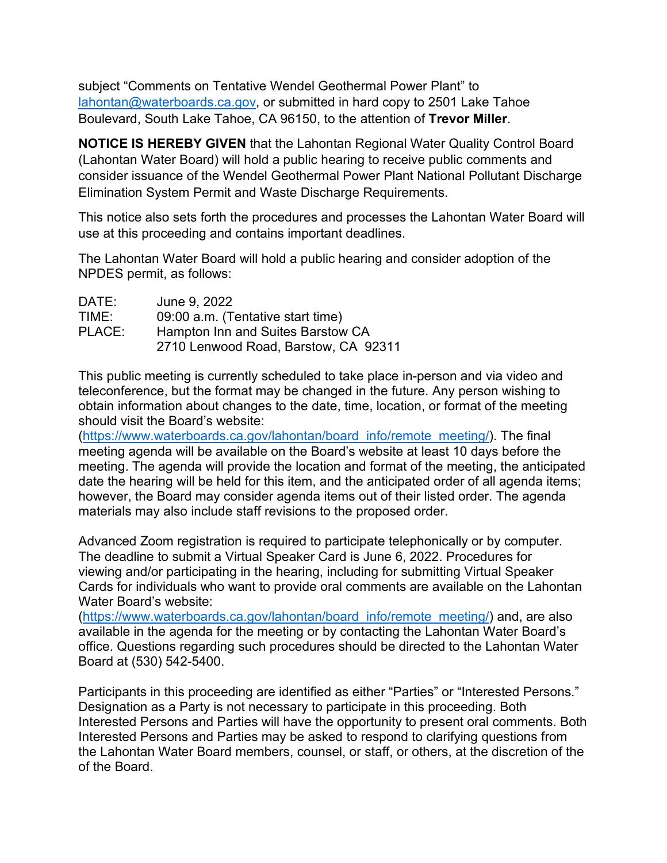subject "Comments on Tentative Wendel Geothermal Power Plant" to [lahontan@waterboards.ca.gov,](mailto:lahontan@waterboards.ca.gov) or submitted in hard copy to 2501 Lake Tahoe Boulevard, South Lake Tahoe, CA 96150, to the attention of **Trevor Miller**.

**NOTICE IS HEREBY GIVEN** that the Lahontan Regional Water Quality Control Board (Lahontan Water Board) will hold a public hearing to receive public comments and consider issuance of the Wendel Geothermal Power Plant National Pollutant Discharge Elimination System Permit and Waste Discharge Requirements.

This notice also sets forth the procedures and processes the Lahontan Water Board will use at this proceeding and contains important deadlines.

The Lahontan Water Board will hold a public hearing and consider adoption of the NPDES permit, as follows:

| DATE:  | June 9, 2022                         |
|--------|--------------------------------------|
| TIME:  | 09:00 a.m. (Tentative start time)    |
| PLACE: | Hampton Inn and Suites Barstow CA    |
|        | 2710 Lenwood Road, Barstow, CA 92311 |

This public meeting is currently scheduled to take place in-person and via video and teleconference, but the format may be changed in the future. Any person wishing to obtain information about changes to the date, time, location, or format of the meeting should visit the Board's website:

[\(https://www.waterboards.ca.gov/lahontan/board\\_info/remote\\_meeting/\)](https://www.waterboards.ca.gov/lahontan/board_info/remote_meeting/). The final meeting agenda will be available on the Board's website at least 10 days before the meeting. The agenda will provide the location and format of the meeting, the anticipated date the hearing will be held for this item, and the anticipated order of all agenda items; however, the Board may consider agenda items out of their listed order. The agenda materials may also include staff revisions to the proposed order.

Advanced Zoom registration is required to participate telephonically or by computer. The deadline to submit a Virtual Speaker Card is June 6, 2022. Procedures for viewing and/or participating in the hearing, including for submitting Virtual Speaker Cards for individuals who want to provide oral comments are available on the Lahontan Water Board's website:

[\(https://www.waterboards.ca.gov/lahontan/board\\_info/remote\\_meeting/\)](https://www.waterboards.ca.gov/lahontan/board_info/remote_meeting/) and, are also available in the agenda for the meeting or by contacting the Lahontan Water Board's office. Questions regarding such procedures should be directed to the Lahontan Water Board at (530) 542-5400.

Participants in this proceeding are identified as either "Parties" or "Interested Persons." Designation as a Party is not necessary to participate in this proceeding. Both Interested Persons and Parties will have the opportunity to present oral comments. Both Interested Persons and Parties may be asked to respond to clarifying questions from the Lahontan Water Board members, counsel, or staff, or others, at the discretion of the of the Board.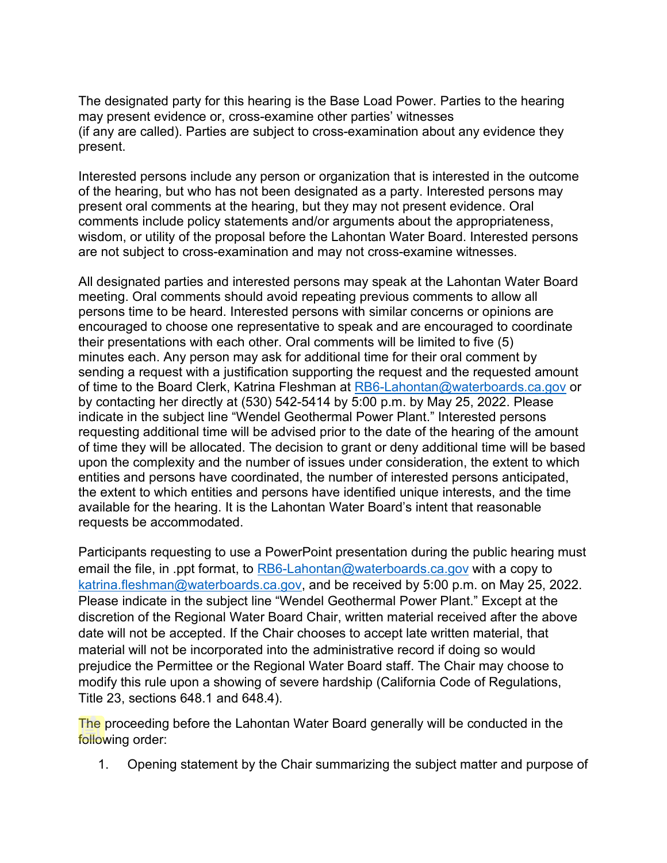The designated party for this hearing is the Base Load Power. Parties to the hearing may present evidence or, cross-examine other parties' witnesses (if any are called). Parties are subject to cross-examination about any evidence they present.

Interested persons include any person or organization that is interested in the outcome of the hearing, but who has not been designated as a party. Interested persons may present oral comments at the hearing, but they may not present evidence. Oral comments include policy statements and/or arguments about the appropriateness, wisdom, or utility of the proposal before the Lahontan Water Board. Interested persons are not subject to cross-examination and may not cross-examine witnesses.

All designated parties and interested persons may speak at the Lahontan Water Board meeting. Oral comments should avoid repeating previous comments to allow all persons time to be heard. Interested persons with similar concerns or opinions are encouraged to choose one representative to speak and are encouraged to coordinate their presentations with each other. Oral comments will be limited to five (5) minutes each. Any person may ask for additional time for their oral comment by sending a request with a justification supporting the request and the requested amount of time to the Board Clerk, Katrina Fleshman at [RB6-Lahontan@waterboards.ca.gov](mailto:RB6-Lahontan@waterboards.ca.gov) or by contacting her directly at (530) 542-5414 by 5:00 p.m. by May 25, 2022. Please indicate in the subject line "Wendel Geothermal Power Plant." Interested persons requesting additional time will be advised prior to the date of the hearing of the amount of time they will be allocated. The decision to grant or deny additional time will be based upon the complexity and the number of issues under consideration, the extent to which entities and persons have coordinated, the number of interested persons anticipated, the extent to which entities and persons have identified unique interests, and the time available for the hearing. It is the Lahontan Water Board's intent that reasonable requests be accommodated.

Participants requesting to use a PowerPoint presentation during the public hearing must email the file, in .ppt format, to [RB6-Lahontan@waterboards.ca.gov](mailto:RB6-Lahontan@waterboards.ca.gov) with a copy to [katrina.fleshman@waterboards.ca.gov,](mailto:katrina.fleshman@waterboards.ca.gov) and be received by 5:00 p.m. on May 25, 2022. Please indicate in the subject line "Wendel Geothermal Power Plant." Except at the discretion of the Regional Water Board Chair, written material received after the above date will not be accepted. If the Chair chooses to accept late written material, that material will not be incorporated into the administrative record if doing so would prejudice the Permittee or the Regional Water Board staff. The Chair may choose to modify this rule upon a showing of severe hardship (California Code of Regulations, Title 23, sections 648.1 and 648.4).

The proceeding before the Lahontan Water Board generally will be conducted in the following order:

1. Opening statement by the Chair summarizing the subject matter and purpose of